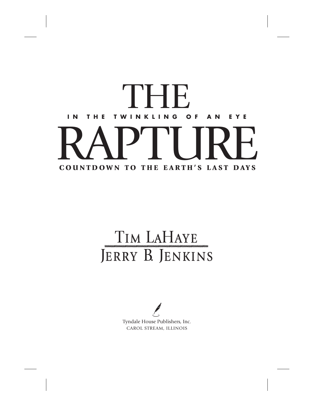

# TIM LAHAYE JERRY B. JENKINS

Tyndale House Publishers, Inc. CAROL STREAM, ILLINOIS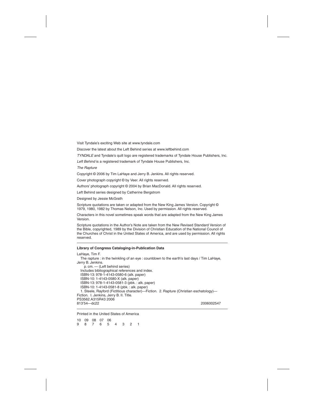Visit Tyndale's exciting Web site at www.tyndale.com

Discover the latest about the Left Behind series at www.leftbehind.com

TYNDALE and Tyndale's quill logo are registered trademarks of Tyndale House Publishers, Inc.

Left Behind is a registered trademark of Tyndale House Publishers, Inc.

The Rapture

Copyright © 2006 by Tim LaHaye and Jerry B. Jenkins. All rights reserved.

Cover photograph copyright © by Veer. All rights reserved.

Authors' photograph copyright © 2004 by Brian MacDonald. All rights reserved.

Left Behind series designed by Catherine Bergstrom

Designed by Jessie McGrath

Scripture quotations are taken or adapted from the New King James Version. Copyright © 1979, 1980, 1982 by Thomas Nelson, Inc. Used by permission. All rights reserved.

Characters in this novel sometimes speak words that are adapted from the New King James Version.

Scripture quotations in the Author's Note are taken from the New Revised Standard Version of the Bible, copyrighted, 1989 by the Division of Christian Education of the National Council of the Churches of Christ in the United States of America, and are used by permission. All rights reserved.

#### **Library of Congress Cataloging-in-Publication Data**

LaHaye, Tim F. The rapture : in the twinkling of an eye : countdown to the earth's last days / Tim LaHaye, Jerry B. Jenkins. p. cm. — (Left behind series) Includes bibliographical references and index. ISBN-13: 978-1-4143-0580-6 (alk. paper) ISBN-10: 1-4143-0580-X (alk. paper) ISBN-13: 978-1-4143-0581-3 (pbk. : alk. paper) ISBN-10: 1-4143-0581-8 (pbk. : alk. paper) 1. Steele, Rayford (Fictitious character)—Fiction. 2. Rapture (Christian eschatology)— Fiction. I. Jenkins, Jerry B. II. Title. PS3562.A315R43 2006 813′54—dc22 2006002547

Printed in the United States of America

10 09 08 07 06 987654321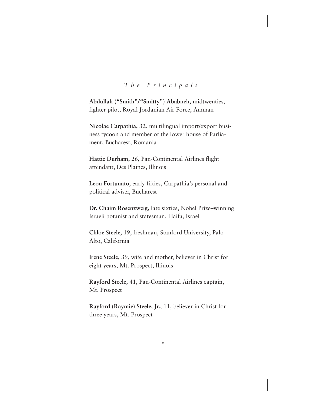### *The Principals*

**Abdullah ("Smith"/"Smitty") Ababneh,** midtwenties, fighter pilot, Royal Jordanian Air Force, Amman

**Nicolae Carpathia,** 32, multilingual import/export business tycoon and member of the lower house of Parliament, Bucharest, Romania

**Hattie Durham,** 26, Pan-Continental Airlines flight attendant, Des Plaines, Illinois

**Leon Fortunato,** early fifties, Carpathia's personal and political adviser, Bucharest

**Dr. Chaim Rosenzweig,** late sixties, Nobel Prize–winning Israeli botanist and statesman, Haifa, Israel

**Chloe Steele,** 19, freshman, Stanford University, Palo Alto, California

**Irene Steele,** 39, wife and mother, believer in Christ for eight years, Mt. Prospect, Illinois

**Rayford Steele,** 41, Pan-Continental Airlines captain, Mt. Prospect

**Rayford (Raymie) Steele, Jr.,** 11, believer in Christ for three years, Mt. Prospect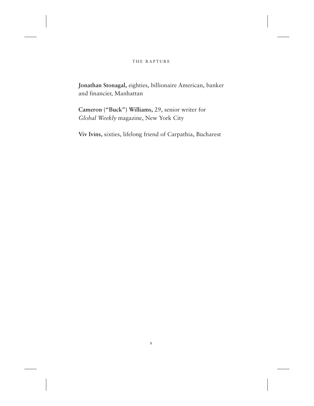**Jonathan Stonagal,** eighties, billionaire American, banker and financier, Manhattan

**Cameron ("Buck") Williams,** 29, senior writer for *Global Weekly* magazine, New York City

**Viv Ivins,** sixties, lifelong friend of Carpathia, Bucharest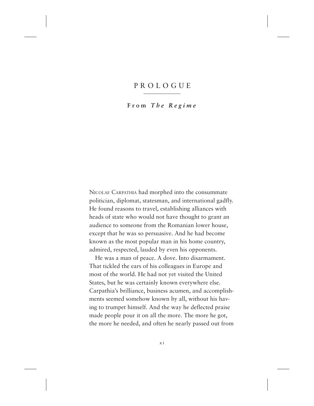# PROLOGUE

#### **From** *The Regime*

NICOLAE CARPATHIA had morphed into the consummate politician, diplomat, statesman, and international gadfly. He found reasons to travel, establishing alliances with heads of state who would not have thought to grant an audience to someone from the Romanian lower house, except that he was so persuasive. And he had become known as the most popular man in his home country, admired, respected, lauded by even his opponents.

He was a man of peace. A dove. Into disarmament. That tickled the ears of his colleagues in Europe and most of the world. He had not yet visited the United States, but he was certainly known everywhere else. Carpathia's brilliance, business acumen, and accomplishments seemed somehow known by all, without his having to trumpet himself. And the way he deflected praise made people pour it on all the more. The more he got, the more he needed, and often he nearly passed out from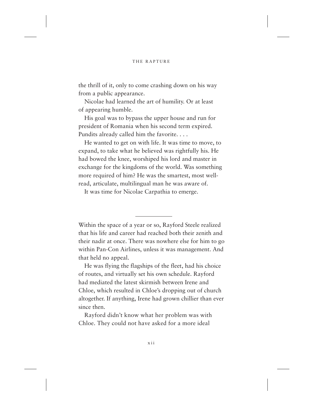the thrill of it, only to come crashing down on his way from a public appearance.

Nicolae had learned the art of humility. Or at least of appearing humble.

His goal was to bypass the upper house and run for president of Romania when his second term expired. Pundits already called him the favorite. . . .

He wanted to get on with life. It was time to move, to expand, to take what he believed was rightfully his. He had bowed the knee, worshiped his lord and master in exchange for the kingdoms of the world. Was something more required of him? He was the smartest, most wellread, articulate, multilingual man he was aware of.

It was time for Nicolae Carpathia to emerge.

Within the space of a year or so, Rayford Steele realized that his life and career had reached both their zenith and their nadir at once. There was nowhere else for him to go within Pan-Con Airlines, unless it was management. And that held no appeal.

He was flying the flagships of the fleet, had his choice of routes, and virtually set his own schedule. Rayford had mediated the latest skirmish between Irene and Chloe, which resulted in Chloe's dropping out of church altogether. If anything, Irene had grown chillier than ever since then.

Rayford didn't know what her problem was with Chloe. They could not have asked for a more ideal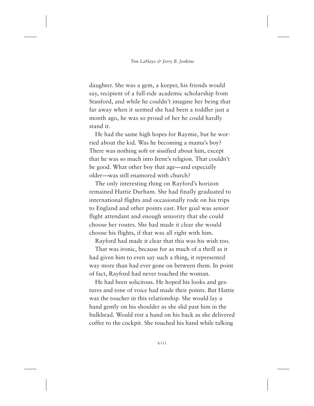daughter. She was a gem, a keeper, his friends would say, recipient of a full-ride academic scholarship from Stanford, and while he couldn't imagine her being that far away when it seemed she had been a toddler just a month ago, he was so proud of her he could hardly stand it.

He had the same high hopes for Raymie, but he worried about the kid. Was he becoming a mama's boy? There was nothing soft or sissified about him, except that he was so much into Irene's religion. That couldn't be good. What other boy that age—and especially older—was still enamored with church?

The only interesting thing on Rayford's horizon remained Hattie Durham. She had finally graduated to international flights and occasionally rode on his trips to England and other points east. Her goal was senior flight attendant and enough seniority that she could choose her routes. She had made it clear she would choose his flights, if that was all right with him.

Rayford had made it clear that this was his wish too.

That was ironic, because for as much of a thrill as it had given him to even say such a thing, it represented way more than had ever gone on between them. In point of fact, Rayford had never touched the woman.

He had been solicitous. He hoped his looks and gestures and tone of voice had made their points. But Hattie was the toucher in this relationship. She would lay a hand gently on his shoulder as she slid past him in the bulkhead. Would rest a hand on his back as she delivered coffee to the cockpit. She touched his hand while talking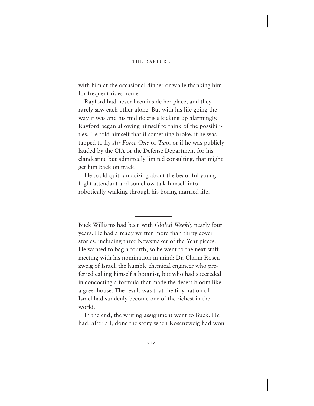with him at the occasional dinner or while thanking him for frequent rides home.

Rayford had never been inside her place, and they rarely saw each other alone. But with his life going the way it was and his midlife crisis kicking up alarmingly, Rayford began allowing himself to think of the possibilities. He told himself that if something broke, if he was tapped to fly *Air Force One* or *Two,* or if he was publicly lauded by the CIA or the Defense Department for his clandestine but admittedly limited consulting, that might get him back on track.

He could quit fantasizing about the beautiful young flight attendant and somehow talk himself into robotically walking through his boring married life.

Buck Williams had been with *Global Weekly* nearly four years. He had already written more than thirty cover stories, including three Newsmaker of the Year pieces. He wanted to bag a fourth, so he went to the next staff meeting with his nomination in mind: Dr. Chaim Rosenzweig of Israel, the humble chemical engineer who preferred calling himself a botanist, but who had succeeded in concocting a formula that made the desert bloom like a greenhouse. The result was that the tiny nation of Israel had suddenly become one of the richest in the world.

In the end, the writing assignment went to Buck. He had, after all, done the story when Rosenzweig had won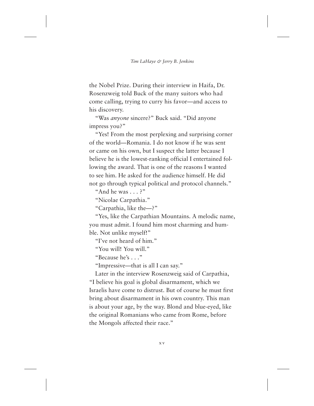the Nobel Prize. During their interview in Haifa, Dr. Rosenzweig told Buck of the many suitors who had come calling, trying to curry his favor—and access to his discovery.

"Was *anyone* sincere?" Buck said. "Did anyone impress you?"

"Yes! From the most perplexing and surprising corner of the world—Romania. I do not know if he was sent or came on his own, but I suspect the latter because I believe he is the lowest-ranking official I entertained following the award. That is one of the reasons I wanted to see him. He asked for the audience himself. He did not go through typical political and protocol channels."

"And he was . . . ?"

"Nicolae Carpathia."

"Carpathia, like the—?"

"Yes, like the Carpathian Mountains. A melodic name, you must admit. I found him most charming and humble. Not unlike myself!"

"I've not heard of him."

"You will! You will."

"Because he's . . ."

"Impressive—that is all I can say."

Later in the interview Rosenzweig said of Carpathia, "I believe his goal is global disarmament, which we Israelis have come to distrust. But of course he must first bring about disarmament in his own country. This man is about your age, by the way. Blond and blue-eyed, like the original Romanians who came from Rome, before the Mongols affected their race."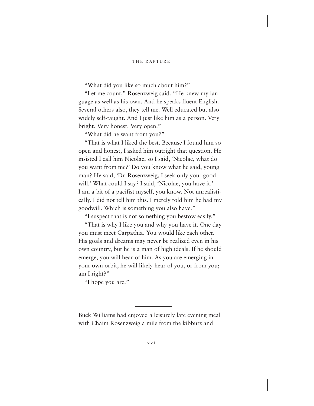"What did you like so much about him?"

"Let me count," Rosenzweig said. "He knew my language as well as his own. And he speaks fluent English. Several others also, they tell me. Well educated but also widely self-taught. And I just like him as a person. Very bright. Very honest. Very open."

"What did he want from you?"

"That is what I liked the best. Because I found him so open and honest, I asked him outright that question. He insisted I call him Nicolae, so I said, 'Nicolae, what do you want from me?' Do you know what he said, young man? He said, 'Dr. Rosenzweig, I seek only your goodwill.' What could I say? I said, 'Nicolae, you have it.' I am a bit of a pacifist myself, you know. Not unrealistically. I did not tell him this. I merely told him he had my goodwill. Which is something you also have."

"I suspect that is not something you bestow easily."

"That is why I like you and why you have it. One day you must meet Carpathia. You would like each other. His goals and dreams may never be realized even in his own country, but he is a man of high ideals. If he should emerge, you will hear of him. As you are emerging in your own orbit, he will likely hear of you, or from you; am I right?"

"I hope you are."

Buck Williams had enjoyed a leisurely late evening meal with Chaim Rosenzweig a mile from the kibbutz and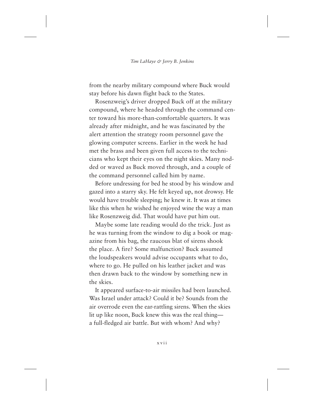from the nearby military compound where Buck would stay before his dawn flight back to the States.

Rosenzweig's driver dropped Buck off at the military compound, where he headed through the command center toward his more-than-comfortable quarters. It was already after midnight, and he was fascinated by the alert attention the strategy room personnel gave the glowing computer screens. Earlier in the week he had met the brass and been given full access to the technicians who kept their eyes on the night skies. Many nodded or waved as Buck moved through, and a couple of the command personnel called him by name.

Before undressing for bed he stood by his window and gazed into a starry sky. He felt keyed up, not drowsy. He would have trouble sleeping; he knew it. It was at times like this when he wished he enjoyed wine the way a man like Rosenzweig did. That would have put him out.

Maybe some late reading would do the trick. Just as he was turning from the window to dig a book or magazine from his bag, the raucous blat of sirens shook the place. A fire? Some malfunction? Buck assumed the loudspeakers would advise occupants what to do, where to go. He pulled on his leather jacket and was then drawn back to the window by something new in the skies.

It appeared surface-to-air missiles had been launched. Was Israel under attack? Could it be? Sounds from the air overrode even the ear-rattling sirens. When the skies lit up like noon, Buck knew this was the real thing a full-fledged air battle. But with whom? And why?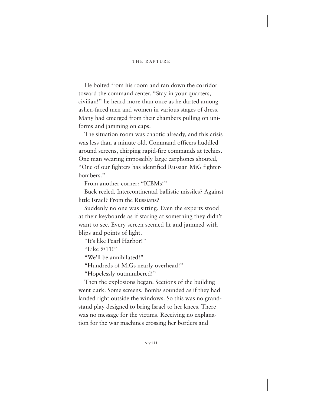He bolted from his room and ran down the corridor toward the command center. "Stay in your quarters, civilian!" he heard more than once as he darted among ashen-faced men and women in various stages of dress. Many had emerged from their chambers pulling on uniforms and jamming on caps.

The situation room was chaotic already, and this crisis was less than a minute old. Command officers huddled around screens, chirping rapid-fire commands at techies. One man wearing impossibly large earphones shouted, "One of our fighters has identified Russian MiG fighterbombers."

From another corner: "ICBMs!"

Buck reeled. Intercontinental ballistic missiles? Against little Israel? From the Russians?

Suddenly no one was sitting. Even the experts stood at their keyboards as if staring at something they didn't want to see. Every screen seemed lit and jammed with blips and points of light.

"It's like Pearl Harbor!"

"Like 9/11!"

"We'll be annihilated!"

"Hundreds of MiGs nearly overhead!"

"Hopelessly outnumbered!"

Then the explosions began. Sections of the building went dark. Some screens. Bombs sounded as if they had landed right outside the windows. So this was no grandstand play designed to bring Israel to her knees. There was no message for the victims. Receiving no explanation for the war machines crossing her borders and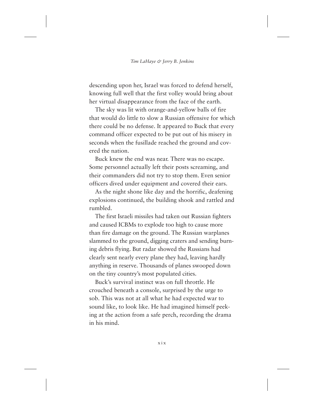descending upon her, Israel was forced to defend herself, knowing full well that the first volley would bring about her virtual disappearance from the face of the earth.

The sky was lit with orange-and-yellow balls of fire that would do little to slow a Russian offensive for which there could be no defense. It appeared to Buck that every command officer expected to be put out of his misery in seconds when the fusillade reached the ground and covered the nation.

Buck knew the end was near. There was no escape. Some personnel actually left their posts screaming, and their commanders did not try to stop them. Even senior officers dived under equipment and covered their ears.

As the night shone like day and the horrific, deafening explosions continued, the building shook and rattled and rumbled.

The first Israeli missiles had taken out Russian fighters and caused ICBMs to explode too high to cause more than fire damage on the ground. The Russian warplanes slammed to the ground, digging craters and sending burning debris flying. But radar showed the Russians had clearly sent nearly every plane they had, leaving hardly anything in reserve. Thousands of planes swooped down on the tiny country's most populated cities.

Buck's survival instinct was on full throttle. He crouched beneath a console, surprised by the urge to sob. This was not at all what he had expected war to sound like, to look like. He had imagined himself peeking at the action from a safe perch, recording the drama in his mind.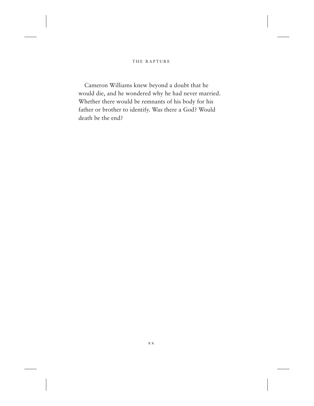Cameron Williams knew beyond a doubt that he would die, and he wondered why he had never married. Whether there would be remnants of his body for his father or brother to identify. Was there a God? Would death be the end?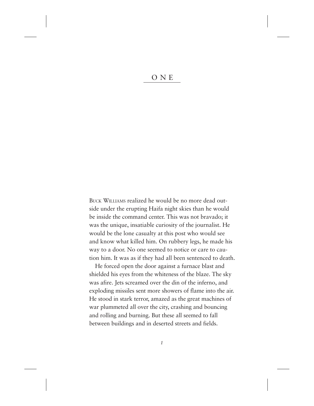# O N E

BUCK WILLIAMS realized he would be no more dead outside under the erupting Haifa night skies than he would be inside the command center. This was not bravado; it was the unique, insatiable curiosity of the journalist. He would be the lone casualty at this post who would see and know what killed him. On rubbery legs, he made his way to a door. No one seemed to notice or care to caution him. It was as if they had all been sentenced to death.

He forced open the door against a furnace blast and shielded his eyes from the whiteness of the blaze. The sky was afire. Jets screamed over the din of the inferno, and exploding missiles sent more showers of flame into the air. He stood in stark terror, amazed as the great machines of war plummeted all over the city, crashing and bouncing and rolling and burning. But these all seemed to fall between buildings and in deserted streets and fields.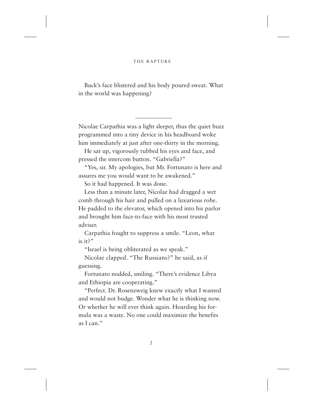Buck's face blistered and his body poured sweat. What in the world was happening?

Nicolae Carpathia was a light sleeper, thus the quiet buzz programmed into a tiny device in his headboard woke him immediately at just after one-thirty in the morning.

He sat up, vigorously rubbed his eyes and face, and pressed the intercom button. "Gabriella?"

"Yes, sir. My apologies, but Mr. Fortunato is here and assures me you would want to be awakened."

So it had happened. It was done.

Less than a minute later, Nicolae had dragged a wet comb through his hair and pulled on a luxurious robe. He padded to the elevator, which opened into his parlor and brought him face-to-face with his most trusted adviser.

Carpathia fought to suppress a smile. "Leon, what is it?"

"Israel is being obliterated as we speak."

Nicolae clapped. "The Russians?" he said, as if guessing.

Fortunato nodded, smiling. "There's evidence Libya and Ethiopia are cooperating."

"Perfect. Dr. Rosenzweig knew exactly what I wanted and would not budge. Wonder what he is thinking now. Or whether he will ever think again. Hoarding his formula was a waste. No one could maximize the benefits as I can."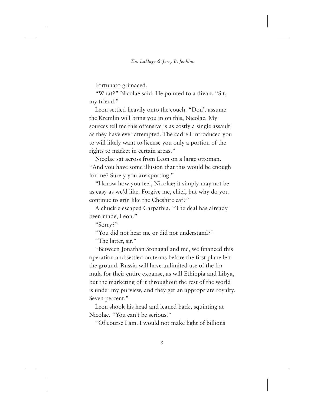Fortunato grimaced.

"What?" Nicolae said. He pointed to a divan. "Sit, my friend."

Leon settled heavily onto the couch. "Don't assume the Kremlin will bring you in on this, Nicolae. My sources tell me this offensive is as costly a single assault as they have ever attempted. The cadre I introduced you to will likely want to license you only a portion of the rights to market in certain areas."

Nicolae sat across from Leon on a large ottoman. "And you have some illusion that this would be enough for me? Surely you are sporting."

"I know how you feel, Nicolae; it simply may not be as easy as we'd like. Forgive me, chief, but why do you continue to grin like the Cheshire cat?"

A chuckle escaped Carpathia. "The deal has already been made, Leon."

"Sorry?"

"You did not hear me or did not understand?"

"The latter, sir."

"Between Jonathan Stonagal and me, we financed this operation and settled on terms before the first plane left the ground. Russia will have unlimited use of the formula for their entire expanse, as will Ethiopia and Libya, but the marketing of it throughout the rest of the world is under my purview, and they get an appropriate royalty. Seven percent."

Leon shook his head and leaned back, squinting at Nicolae. "You can't be serious."

"Of course I am. I would not make light of billions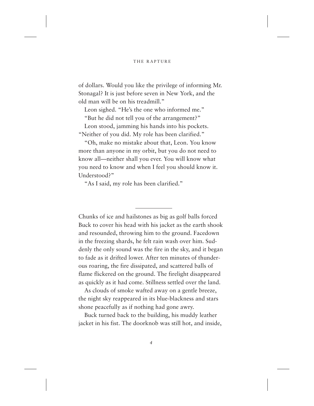of dollars. Would you like the privilege of informing Mr. Stonagal? It is just before seven in New York, and the old man will be on his treadmill."

Leon sighed. "He's the one who informed me."

"But he did not tell you of the arrangement?"

Leon stood, jamming his hands into his pockets. "Neither of you did. My role has been clarified."

"Oh, make no mistake about that, Leon. You know more than anyone in my orbit, but you do not need to know all—neither shall you ever. You will know what you need to know and when I feel you should know it. Understood?"

"As I said, my role has been clarified."

Chunks of ice and hailstones as big as golf balls forced Buck to cover his head with his jacket as the earth shook and resounded, throwing him to the ground. Facedown in the freezing shards, he felt rain wash over him. Suddenly the only sound was the fire in the sky, and it began to fade as it drifted lower. After ten minutes of thunderous roaring, the fire dissipated, and scattered balls of flame flickered on the ground. The firelight disappeared as quickly as it had come. Stillness settled over the land.

As clouds of smoke wafted away on a gentle breeze, the night sky reappeared in its blue-blackness and stars shone peacefully as if nothing had gone awry.

Buck turned back to the building, his muddy leather jacket in his fist. The doorknob was still hot, and inside,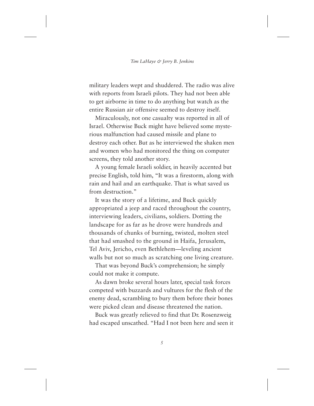military leaders wept and shuddered. The radio was alive with reports from Israeli pilots. They had not been able to get airborne in time to do anything but watch as the entire Russian air offensive seemed to destroy itself.

Miraculously, not one casualty was reported in all of Israel. Otherwise Buck might have believed some mysterious malfunction had caused missile and plane to destroy each other. But as he interviewed the shaken men and women who had monitored the thing on computer screens, they told another story.

A young female Israeli soldier, in heavily accented but precise English, told him, "It was a firestorm, along with rain and hail and an earthquake. That is what saved us from destruction."

It was the story of a lifetime, and Buck quickly appropriated a jeep and raced throughout the country, interviewing leaders, civilians, soldiers. Dotting the landscape for as far as he drove were hundreds and thousands of chunks of burning, twisted, molten steel that had smashed to the ground in Haifa, Jerusalem, Tel Aviv, Jericho, even Bethlehem—leveling ancient walls but not so much as scratching one living creature.

That was beyond Buck's comprehension; he simply could not make it compute.

As dawn broke several hours later, special task forces competed with buzzards and vultures for the flesh of the enemy dead, scrambling to bury them before their bones were picked clean and disease threatened the nation.

Buck was greatly relieved to find that Dr. Rosenzweig had escaped unscathed. "Had I not been here and seen it